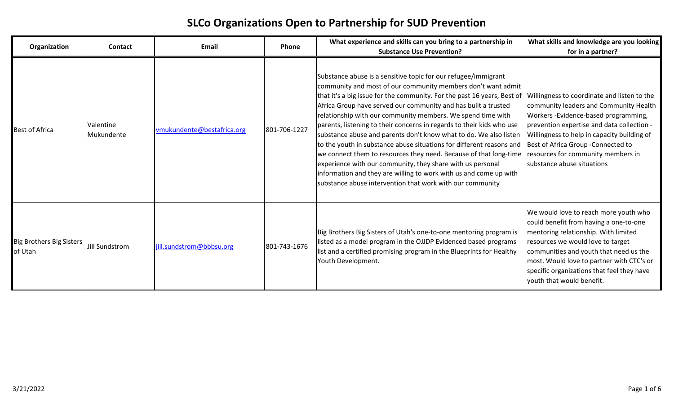## **SLCo Organizations Open to Partnership for SUD Prevention**

| Organization                               | <b>Contact</b>          | Email                      | <b>Phone</b> | What experience and skills can you bring to a partnership in<br><b>Substance Use Prevention?</b>                                                                                                                                                                                                                                                                                                                                                                                                                                                                                                                                                                                                                                                                                                                                      | What skills and knowledge are you looking<br>for in a partner?                                                                                                                                                                                                                                                                         |
|--------------------------------------------|-------------------------|----------------------------|--------------|---------------------------------------------------------------------------------------------------------------------------------------------------------------------------------------------------------------------------------------------------------------------------------------------------------------------------------------------------------------------------------------------------------------------------------------------------------------------------------------------------------------------------------------------------------------------------------------------------------------------------------------------------------------------------------------------------------------------------------------------------------------------------------------------------------------------------------------|----------------------------------------------------------------------------------------------------------------------------------------------------------------------------------------------------------------------------------------------------------------------------------------------------------------------------------------|
| <b>Best of Africa</b>                      | Valentine<br>Mukundente | vmukundente@bestafrica.org | 801-706-1227 | Substance abuse is a sensitive topic for our refugee/immigrant<br>community and most of our community members don't want admit<br>that it's a big issue for the community. For the past 16 years, Best of<br>Africa Group have served our community and has built a trusted<br>relationship with our community members. We spend time with<br>parents, listening to their concerns in regards to their kids who use<br>substance abuse and parents don't know what to do. We also listen<br>to the youth in substance abuse situations for different reasons and<br>we connect them to resources they need. Because of that long-time<br>experience with our community, they share with us personal<br>information and they are willing to work with us and come up with<br>substance abuse intervention that work with our community | Willingness to coordinate and listen to the<br>community leaders and Community Health<br>Workers - Evidence-based programming,<br>prevention expertise and data collection -<br>Willingness to help in capacity building of<br>Best of Africa Group - Connected to<br>resources for community members in<br>substance abuse situations |
| <b>Big Brothers Big Sisters</b><br>of Utah | Jill Sundstrom          | jill.sundstrom@bbbsu.org   | 801-743-1676 | Big Brothers Big Sisters of Utah's one-to-one mentoring program is<br>listed as a model program in the OJJDP Evidenced based programs<br>list and a certified promising program in the Blueprints for Healthy<br>Youth Development.                                                                                                                                                                                                                                                                                                                                                                                                                                                                                                                                                                                                   | We would love to reach more youth who<br>could benefit from having a one-to-one<br>mentoring relationship. With limited<br>resources we would love to target<br>communities and youth that need us the<br>most. Would love to partner with CTC's or<br>specific organizations that feel they have<br>youth that would benefit.         |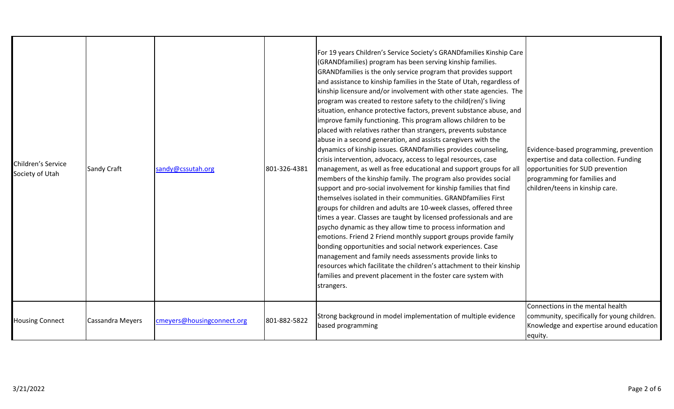| Children's Service<br>Society of Utah | Sandy Craft             | sandy@cssutah.org          | 801-326-4381 | For 19 years Children's Service Society's GRANDfamilies Kinship Care<br>(GRANDfamilies) program has been serving kinship families.<br>GRAND families is the only service program that provides support<br>and assistance to kinship families in the State of Utah, regardless of<br>kinship licensure and/or involvement with other state agencies. The<br>program was created to restore safety to the child(ren)'s living<br>situation, enhance protective factors, prevent substance abuse, and<br>improve family functioning. This program allows children to be<br>placed with relatives rather than strangers, prevents substance<br>abuse in a second generation, and assists caregivers with the<br>dynamics of kinship issues. GRANDfamilies provides counseling,<br>crisis intervention, advocacy, access to legal resources, case<br>management, as well as free educational and support groups for all<br>members of the kinship family. The program also provides social<br>support and pro-social involvement for kinship families that find<br>Ithemselves isolated in their communities. GRANDfamilies First<br>groups for children and adults are 10-week classes, offered three<br>times a year. Classes are taught by licensed professionals and are<br>psycho dynamic as they allow time to process information and<br>emotions. Friend 2 Friend monthly support groups provide family<br>bonding opportunities and social network experiences. Case<br>management and family needs assessments provide links to<br>resources which facilitate the children's attachment to their kinship<br>families and prevent placement in the foster care system with<br>strangers. | Evidence-based programming, prevention<br>expertise and data collection. Funding<br>opportunities for SUD prevention<br>programming for families and<br>children/teens in kinship care. |
|---------------------------------------|-------------------------|----------------------------|--------------|----------------------------------------------------------------------------------------------------------------------------------------------------------------------------------------------------------------------------------------------------------------------------------------------------------------------------------------------------------------------------------------------------------------------------------------------------------------------------------------------------------------------------------------------------------------------------------------------------------------------------------------------------------------------------------------------------------------------------------------------------------------------------------------------------------------------------------------------------------------------------------------------------------------------------------------------------------------------------------------------------------------------------------------------------------------------------------------------------------------------------------------------------------------------------------------------------------------------------------------------------------------------------------------------------------------------------------------------------------------------------------------------------------------------------------------------------------------------------------------------------------------------------------------------------------------------------------------------------------------------------------------------------------------------------------------------|-----------------------------------------------------------------------------------------------------------------------------------------------------------------------------------------|
| Housing Connect                       | <b>Cassandra Meyers</b> | cmeyers@housingconnect.org | 801-882-5822 | Strong background in model implementation of multiple evidence<br>based programming                                                                                                                                                                                                                                                                                                                                                                                                                                                                                                                                                                                                                                                                                                                                                                                                                                                                                                                                                                                                                                                                                                                                                                                                                                                                                                                                                                                                                                                                                                                                                                                                          | Connections in the mental health<br>community, specifically for young children.<br>Knowledge and expertise around education<br>equity.                                                  |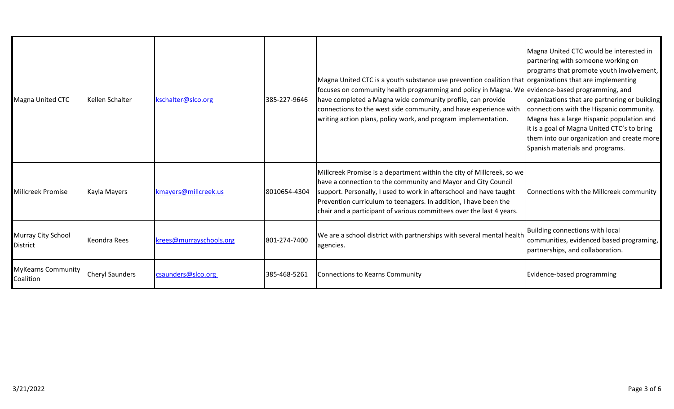| <b>Magna United CTC</b>                | Kellen Schalter        | kschalter@slco.org      | 385-227-9646 | Magna United CTC is a youth substance use prevention coalition that organizations that are implementing<br>focuses on community health programming and policy in Magna. We evidence-based programming, and<br>have completed a Magna wide community profile, can provide<br>connections to the west side community, and have experience with<br>writing action plans, policy work, and program implementation. | Magna United CTC would be interested in<br>partnering with someone working on<br>programs that promote youth involvement,<br>organizations that are partnering or building<br>connections with the Hispanic community.<br>Magna has a large Hispanic population and<br>it is a goal of Magna United CTC's to bring<br>them into our organization and create more<br>Spanish materials and programs. |
|----------------------------------------|------------------------|-------------------------|--------------|----------------------------------------------------------------------------------------------------------------------------------------------------------------------------------------------------------------------------------------------------------------------------------------------------------------------------------------------------------------------------------------------------------------|-----------------------------------------------------------------------------------------------------------------------------------------------------------------------------------------------------------------------------------------------------------------------------------------------------------------------------------------------------------------------------------------------------|
| <b>Millcreek Promise</b>               | Kayla Mayers           | kmayers@millcreek.us    | 8010654-4304 | Millcreek Promise is a department within the city of Millcreek, so we<br>have a connection to the community and Mayor and City Council<br>support. Personally, I used to work in afterschool and have taught<br>Prevention curriculum to teenagers. In addition, I have been the<br>chair and a participant of various committees over the last 4 years.                                                       | Connections with the Millcreek community                                                                                                                                                                                                                                                                                                                                                            |
| Murray City School<br><b>District</b>  | <b>Keondra Rees</b>    | krees@murrayschools.org | 801-274-7400 | We are a school district with partnerships with several mental health<br>agencies.                                                                                                                                                                                                                                                                                                                             | Building connections with local<br>communities, evidenced based programing,<br>partnerships, and collaboration.                                                                                                                                                                                                                                                                                     |
| <b>MyKearns Community</b><br>Coalition | <b>Cheryl Saunders</b> | csaunders@slco.org      | 385-468-5261 | <b>Connections to Kearns Community</b>                                                                                                                                                                                                                                                                                                                                                                         | Evidence-based programming                                                                                                                                                                                                                                                                                                                                                                          |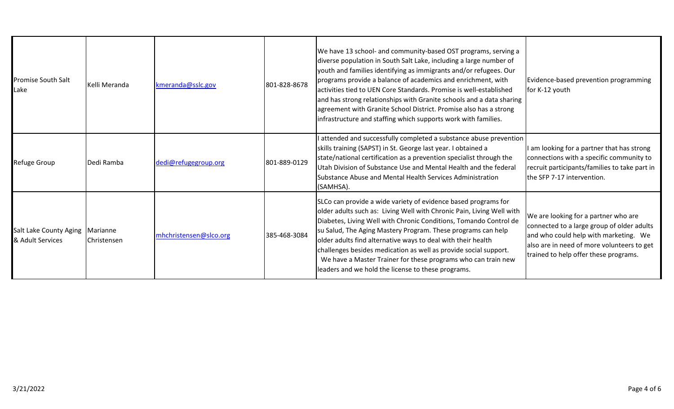| Promise South Salt<br>Lake                 | Kelli Meranda           | kmeranda@sslc.gov      | 801-828-8678 | We have 13 school- and community-based OST programs, serving a<br>diverse population in South Salt Lake, including a large number of<br>youth and families identifying as immigrants and/or refugees. Our<br>programs provide a balance of academics and enrichment, with<br>activities tied to UEN Core Standards. Promise is well-established<br>and has strong relationships with Granite schools and a data sharing<br>agreement with Granite School District. Promise also has a strong<br>infrastructure and staffing which supports work with families. | Evidence-based prevention programming<br>for K-12 youth                                                                                                                                                            |
|--------------------------------------------|-------------------------|------------------------|--------------|----------------------------------------------------------------------------------------------------------------------------------------------------------------------------------------------------------------------------------------------------------------------------------------------------------------------------------------------------------------------------------------------------------------------------------------------------------------------------------------------------------------------------------------------------------------|--------------------------------------------------------------------------------------------------------------------------------------------------------------------------------------------------------------------|
| Refuge Group                               | Dedi Ramba              | dedi@refugegroup.org   | 801-889-0129 | I attended and successfully completed a substance abuse prevention<br>skills training (SAPST) in St. George last year. I obtained a<br>state/national certification as a prevention specialist through the<br>Utah Division of Substance Use and Mental Health and the federal<br>Substance Abuse and Mental Health Services Administration<br>(SAMHSA).                                                                                                                                                                                                       | am looking for a partner that has strong<br>connections with a specific community to<br>recruit participants/families to take part in<br>the SFP 7-17 intervention.                                                |
| Salt Lake County Aging<br>& Adult Services | Marianne<br>Christensen | mhchristensen@slco.org | 385-468-3084 | SLCo can provide a wide variety of evidence based programs for<br>older adults such as: Living Well with Chronic Pain, Living Well with<br>Diabetes, Living Well with Chronic Conditions, Tomando Control de<br>su Salud, The Aging Mastery Program. These programs can help<br>older adults find alternative ways to deal with their health<br>challenges besides medication as well as provide social support.<br>We have a Master Trainer for these programs who can train new<br>leaders and we hold the license to these programs.                        | We are looking for a partner who are<br>connected to a large group of older adults<br>and who could help with marketing. We<br>also are in need of more volunteers to get<br>trained to help offer these programs. |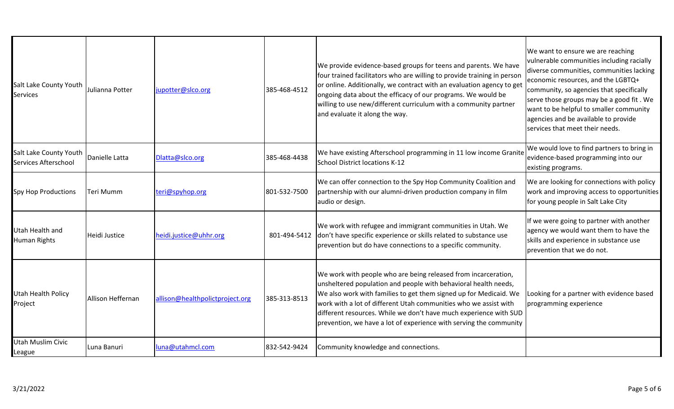| Salt Lake County Youth<br><b>Services</b>      | Julianna Potter      | jupotter@slco.org               | 385-468-4512 | We provide evidence-based groups for teens and parents. We have<br>four trained facilitators who are willing to provide training in person<br>or online. Additionally, we contract with an evaluation agency to get<br>ongoing data about the efficacy of our programs. We would be<br>willing to use new/different curriculum with a community partner<br>and evaluate it along the way.                             | We want to ensure we are reaching<br>vulnerable communities including racially<br>diverse communities, communities lacking<br>economic resources, and the LGBTQ+<br>community, so agencies that specifically<br>serve those groups may be a good fit. We<br>want to be helpful to smaller community<br>agencies and be available to provide<br>services that meet their needs. |
|------------------------------------------------|----------------------|---------------------------------|--------------|-----------------------------------------------------------------------------------------------------------------------------------------------------------------------------------------------------------------------------------------------------------------------------------------------------------------------------------------------------------------------------------------------------------------------|--------------------------------------------------------------------------------------------------------------------------------------------------------------------------------------------------------------------------------------------------------------------------------------------------------------------------------------------------------------------------------|
| Salt Lake County Youth<br>Services Afterschool | Danielle Latta       | Dlatta@slco.org                 | 385-468-4438 | We have existing Afterschool programming in 11 low income Granite<br>School District locations K-12                                                                                                                                                                                                                                                                                                                   | We would love to find partners to bring in<br>evidence-based programming into our<br>existing programs.                                                                                                                                                                                                                                                                        |
| Spy Hop Productions                            | Teri Mumm            | teri@spyhop.org                 | 801-532-7500 | We can offer connection to the Spy Hop Community Coalition and<br>partnership with our alumni-driven production company in film<br>audio or design.                                                                                                                                                                                                                                                                   | We are looking for connections with policy<br>work and improving access to opportunities<br>for young people in Salt Lake City                                                                                                                                                                                                                                                 |
| Utah Health and<br>Human Rights                | <b>Heidi Justice</b> | heidi.justice@uhhr.org          | 801-494-5412 | We work with refugee and immigrant communities in Utah. We<br>don't have specific experience or skills related to substance use<br>prevention but do have connections to a specific community.                                                                                                                                                                                                                        | If we were going to partner with another<br>agency we would want them to have the<br>skills and experience in substance use<br>prevention that we do not.                                                                                                                                                                                                                      |
| Utah Health Policy<br>Project                  | Allison Heffernan    | allison@healthpolictproject.org | 385-313-8513 | We work with people who are being released from incarceration,<br>unsheltered population and people with behavioral health needs,<br>We also work with families to get them signed up for Medicaid. We<br>work with a lot of different Utah communities who we assist with<br>different resources. While we don't have much experience with SUD<br>prevention, we have a lot of experience with serving the community | Looking for a partner with evidence based<br>programming experience                                                                                                                                                                                                                                                                                                            |
| Utah Muslim Civic<br>League                    | Luna Banuri          | luna@utahmcl.com                | 832-542-9424 | Community knowledge and connections.                                                                                                                                                                                                                                                                                                                                                                                  |                                                                                                                                                                                                                                                                                                                                                                                |